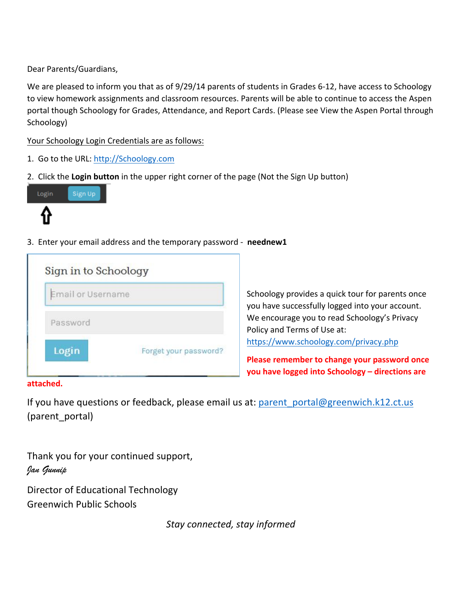Dear Parents/Guardians,

We are pleased to inform you that as of 9/29/14 parents of students in Grades 6-12, have access to Schoology to view homework assignments and classroom resources. Parents will be able to continue to access the Aspen portal though Schoology for Grades, Attendance, and Report Cards. (Please see View the Aspen Portal through Schoology)

Your Schoology Login Credentials are as follows:

- 1. Go to the URL: http://Schoology.com
- 2. Click the Login button in the upper right corner of the page (Not the Sign Up button)



3. Enter your email address and the temporary password - neednew1

| <b>Email or Username</b> |                       |
|--------------------------|-----------------------|
| Password                 |                       |
| Login                    | Forget your password? |

Schoology provides a quick tour for parents once you have successfully logged into your account. We encourage you to read Schoology's Privacy Policy and Terms of Use at: https://www.schoology.com/privacy.php

**Please remember to change your password once you have logged into Schoology – directions are** 

### **attached.**

If you have questions or feedback, please email us at: parent portal@greenwich.k12.ct.us (parent\_portal)

Thank you for your continued support, *Jan Gunnip*

Director of Educational Technology Greenwich Public Schools

*Stay connected, stay informed*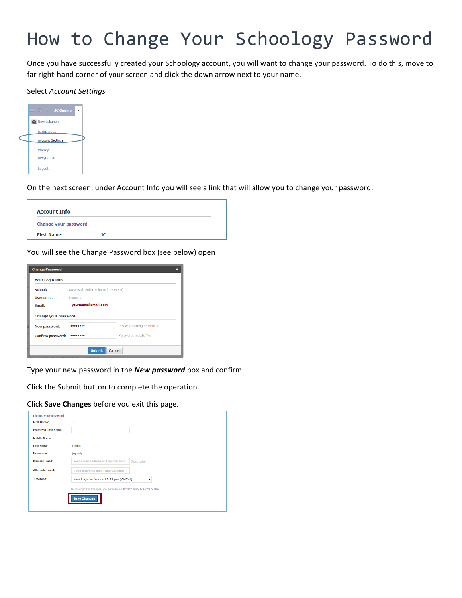## How to Change Your Schoology Password

Once you have successfully created your Schoology account, you will want to change your password. To do this, move to far right-hand corner of your screen and click the down arrow next to your name.

#### Select *Account Settings*

| <b>E &amp; C JC Gunnip</b>    |
|-------------------------------|
| <b>Ma</b> New Lebanon         |
| <b>Notifications</b>          |
| <b>Account Settings</b>       |
| Privacy<br><b>Recycle Bin</b> |
|                               |
| Logout                        |

On the next screen, under Account Info you will see a link that will allow you to change your password.

| <b>Account Info</b>  |    |  |
|----------------------|----|--|
| Change your password |    |  |
| <b>First Name:</b>   | ıс |  |

You will see the Change Password box (see below) open

| <b>Change Password</b>   |                                     |                           | $\boldsymbol{\mathsf{x}}$ |
|--------------------------|-------------------------------------|---------------------------|---------------------------|
| <b>Your Login Info</b>   |                                     |                           |                           |
| School:                  | Greenwich Public Schools (12539903) |                           |                           |
| <b>Username:</b>         | jcqunnip                            |                           |                           |
| <b>Email:</b>            | yourname@email.com                  |                           |                           |
| Change your password     |                                     |                           |                           |
|                          |                                     | Password strength: Medium |                           |
| New password:            |                                     |                           |                           |
| <b>Confirm password:</b> |                                     | Passwords match: Yes      |                           |
|                          |                                     |                           |                           |

Type your new password in the **New password** box and confirm

Click the Submit button to complete the operation.

#### Click **Save Changes** before you exit this page.

| Change your password         |                                     |              |
|------------------------------|-------------------------------------|--------------|
| <b>First Name:</b>           | <b>JC</b>                           |              |
| <b>Preferred First Name:</b> |                                     |              |
| <b>Middle Name:</b>          |                                     |              |
| <b>Last Name:</b>            | Gunnip                              |              |
| <b>Username:</b>             | jcgunnip                            |              |
| <b>Primary Email:</b>        | your email address will appear here | Check status |
| <b>Alternate Email:</b>      | Type alternate email address here   |              |
| <b>Timezone:</b>             | America/New_York - 12:33 pm (GMT-4) | ۰            |